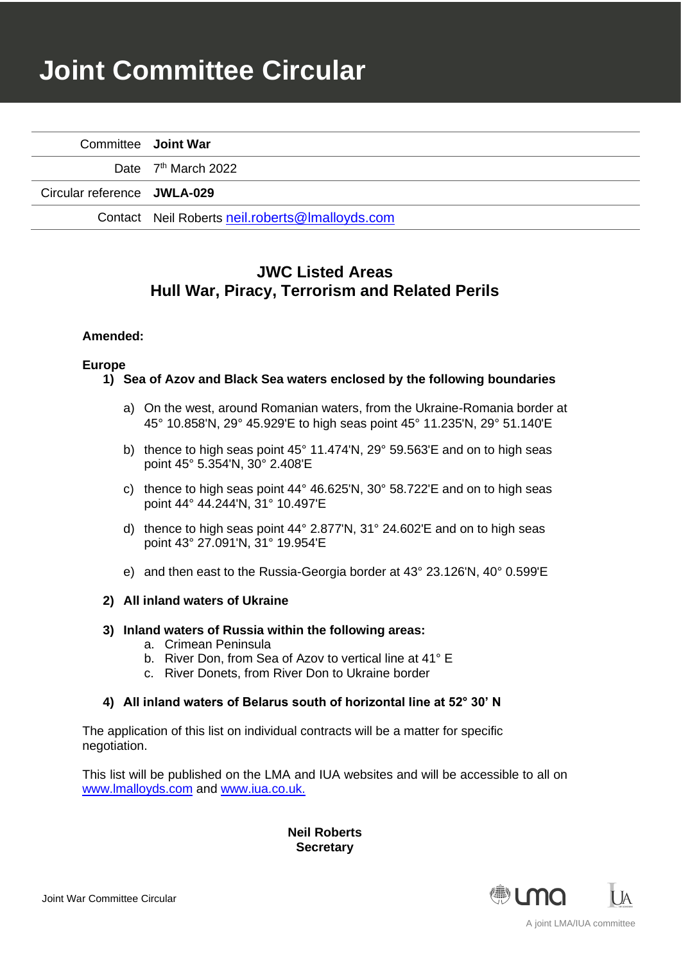# **Joint Committee Circular**

| Committee Joint War         |                                                 |
|-----------------------------|-------------------------------------------------|
|                             | Date 7 <sup>th</sup> March 2022                 |
| Circular reference JWLA-029 |                                                 |
|                             | Contact Neil Roberts neil.roberts@lmalloyds.com |

# **JWC Listed Areas Hull War, Piracy, Terrorism and Related Perils**

# **Amended:**

#### **Europe**

- **1) Sea of Azov and Black Sea waters enclosed by the following boundaries**
	- a) On the west, around Romanian waters, from the Ukraine-Romania border at 45° 10.858'N, 29° 45.929'E to high seas point 45° 11.235'N, 29° 51.140'E
	- b) thence to high seas point 45° 11.474'N, 29° 59.563'E and on to high seas point 45° 5.354'N, 30° 2.408'E
	- c) thence to high seas point 44° 46.625'N, 30° 58.722'E and on to high seas point 44° 44.244'N, 31° 10.497'E
	- d) thence to high seas point 44° 2.877'N, 31° 24.602'E and on to high seas point 43° 27.091'N, 31° 19.954'E
	- e) and then east to the Russia-Georgia border at 43° 23.126'N, 40° 0.599'E

# **2) All inland waters of Ukraine**

#### **3) Inland waters of Russia within the following areas:**

- a. Crimean Peninsula
- b. River Don, from Sea of Azov to vertical line at 41° E
- c. River Donets, from River Don to Ukraine border

# **4) All inland waters of Belarus south of horizontal line at 52° 30' N**

The application of this list on individual contracts will be a matter for specific negotiation.

This list will be published on the LMA and IUA websites and will be accessible to all on [www.lmalloyds.com](http://www.lmalloyds.com/) and [www.iua.co.uk.](http://www.iua.co.uk/)

> **Neil Roberts Secretary**

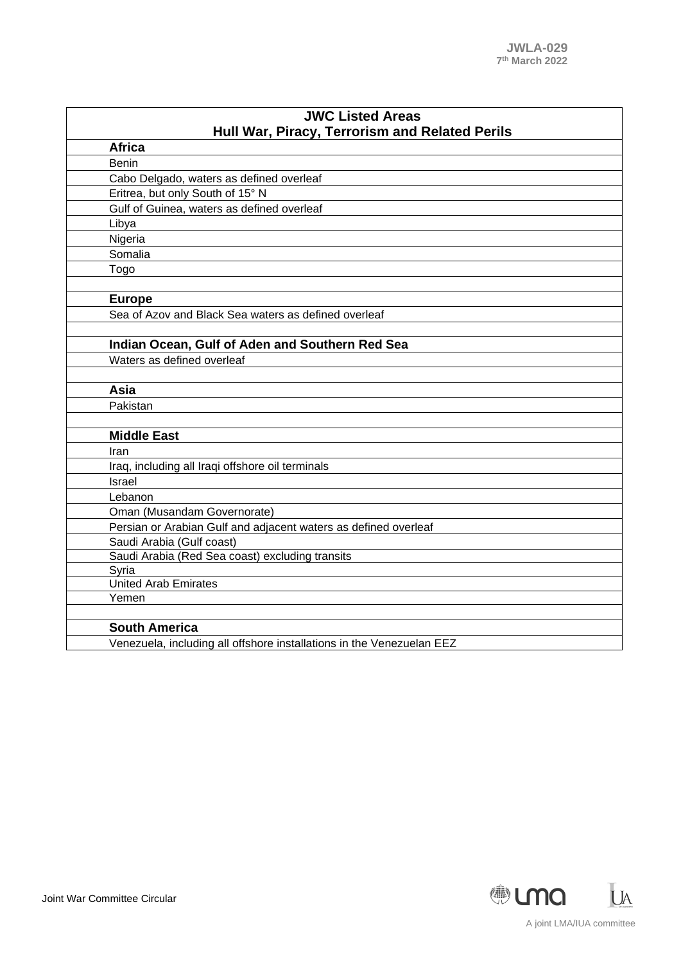| <b>JWC Listed Areas</b>                                               |  |
|-----------------------------------------------------------------------|--|
| Hull War, Piracy, Terrorism and Related Perils                        |  |
| <b>Africa</b>                                                         |  |
| Benin                                                                 |  |
| Cabo Delgado, waters as defined overleaf                              |  |
| Eritrea, but only South of 15° N                                      |  |
| Gulf of Guinea, waters as defined overleaf                            |  |
| Libya                                                                 |  |
| Nigeria                                                               |  |
| Somalia                                                               |  |
| Togo                                                                  |  |
|                                                                       |  |
| <b>Europe</b>                                                         |  |
| Sea of Azov and Black Sea waters as defined overleaf                  |  |
|                                                                       |  |
| Indian Ocean, Gulf of Aden and Southern Red Sea                       |  |
| Waters as defined overleaf                                            |  |
|                                                                       |  |
| Asia                                                                  |  |
| Pakistan                                                              |  |
|                                                                       |  |
| <b>Middle East</b>                                                    |  |
| Iran                                                                  |  |
| Iraq, including all Iraqi offshore oil terminals                      |  |
| Israel                                                                |  |
| Lebanon                                                               |  |
| Oman (Musandam Governorate)                                           |  |
| Persian or Arabian Gulf and adjacent waters as defined overleaf       |  |
| Saudi Arabia (Gulf coast)                                             |  |
| Saudi Arabia (Red Sea coast) excluding transits                       |  |
| Syria                                                                 |  |
| <b>United Arab Emirates</b>                                           |  |
| Yemen                                                                 |  |
|                                                                       |  |
| <b>South America</b>                                                  |  |
| Venezuela, including all offshore installations in the Venezuelan EEZ |  |

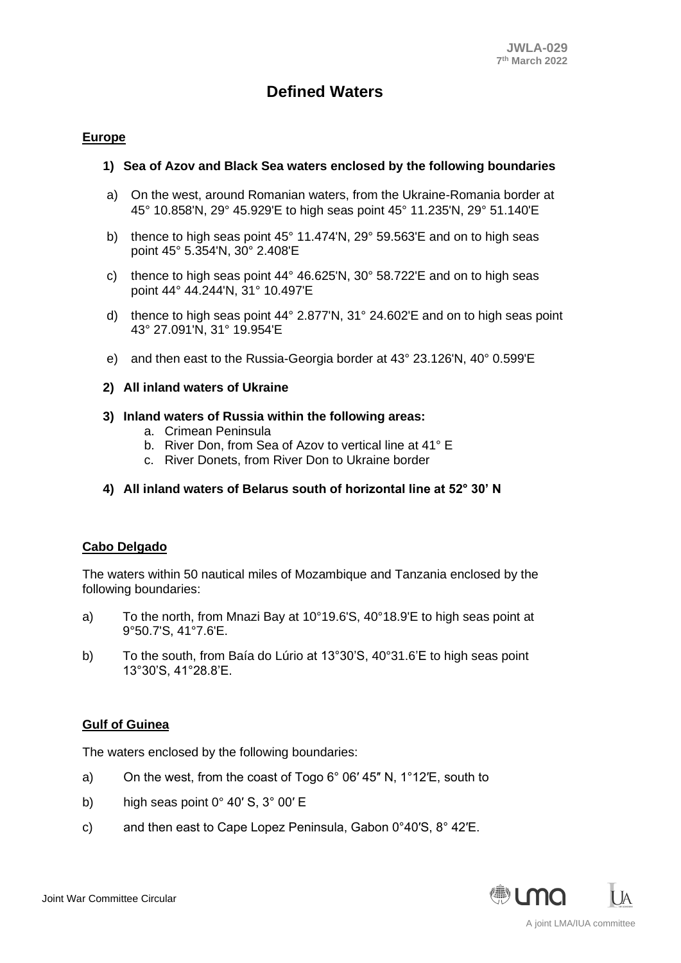# **Defined Waters**

# **Europe**

#### **1) Sea of Azov and Black Sea waters enclosed by the following boundaries**

- a) On the west, around Romanian waters, from the Ukraine-Romania border at 45° 10.858'N, 29° 45.929'E to high seas point 45° 11.235'N, 29° 51.140'E
- b) thence to high seas point 45° 11.474'N, 29° 59.563'E and on to high seas point 45° 5.354'N, 30° 2.408'E
- c) thence to high seas point  $44^{\circ}$  46.625'N, 30 $^{\circ}$  58.722'E and on to high seas point 44° 44.244'N, 31° 10.497'E
- d) thence to high seas point 44° 2.877'N, 31° 24.602'E and on to high seas point 43° 27.091'N, 31° 19.954'E
- e) and then east to the Russia-Georgia border at 43° 23.126'N, 40° 0.599'E

#### **2) All inland waters of Ukraine**

#### **3) Inland waters of Russia within the following areas:**

- a. Crimean Peninsula
- b. River Don, from Sea of Azov to vertical line at 41° E
- c. River Donets, from River Don to Ukraine border
- **4) All inland waters of Belarus south of horizontal line at 52° 30' N**

# **Cabo Delgado**

The waters within 50 nautical miles of Mozambique and Tanzania enclosed by the following boundaries:

- a) To the north, from Mnazi Bay at 10°19.6'S, 40°18.9'E to high seas point at 9°50.7'S, 41°7.6'E.
- b) To the south, from Baía do Lúrio at 13°30'S, 40°31.6'E to high seas point 13°30'S, 41°28.8'E.

# **Gulf of Guinea**

The waters enclosed by the following boundaries:

- a) On the west, from the coast of Togo 6° 06′ 45″ N, 1°12′E, south to
- b) high seas point  $0^{\circ}$  40' S,  $3^{\circ}$  00' E
- c) and then east to Cape Lopez Peninsula, Gabon 0°40′S, 8° 42′E.